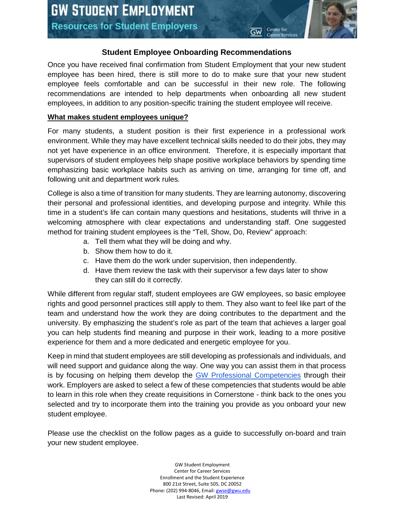# **Student Employee Onboarding Recommendations**

Center for

Once you have received final confirmation from Student Employment that your new student employee has been hired, there is still more to do to make sure that your new student employee feels comfortable and can be successful in their new role. The following recommendations are intended to help departments when onboarding all new student employees, in addition to any position-specific training the student employee will receive.

## **What makes student employees unique?**

For many students, a student position is their first experience in a professional work environment. While they may have excellent technical skills needed to do their jobs, they may not yet have experience in an office environment. Therefore, it is especially important that supervisors of student employees help shape positive workplace behaviors by spending time emphasizing basic workplace habits such as arriving on time, arranging for time off, and following unit and department work rules.

College is also a time of transition for many students. They are learning autonomy, discovering their personal and professional identities, and developing purpose and integrity. While this time in a student's life can contain many questions and hesitations, students will thrive in a welcoming atmosphere with clear expectations and understanding staff. One suggested method for training student employees is the "Tell, Show, Do, Review" approach:

- a. Tell them what they will be doing and why.
- b. Show them how to do it.
- c. Have them do the work under supervision, then independently.
- d. Have them review the task with their supervisor a few days later to show they can still do it correctly.

While different from regular staff, student employees are GW employees, so basic employee rights and good personnel practices still apply to them. They also want to feel like part of the team and understand how the work they are doing contributes to the department and the university. By emphasizing the student's role as part of the team that achieves a larger goal you can help students find meaning and purpose in their work, leading to a more positive experience for them and a more dedicated and energetic employee for you.

Keep in mind that student employees are still developing as professionals and individuals, and will need support and guidance along the way. One way you can assist them in that process is by focusing on helping them develop the [GW Professional Competencies](https://careerservices.gwu.edu/professional-competencies) through their work. Employers are asked to select a few of these competencies that students would be able to learn in this role when they create requisitions in Cornerstone - think back to the ones you selected and try to incorporate them into the training you provide as you onboard your new student employee.

Please use the checklist on the follow pages as a guide to successfully on-board and train your new student employee.

> GW Student Employment Center for Career Services Enrollment and the Student Experience 800 21st Street, Suite 505, DC 20052 Phone: (202) 994-8046, Email[: gwse@gwu.edu](mailto:gwse@gwu.edu) Last Revised: April 2019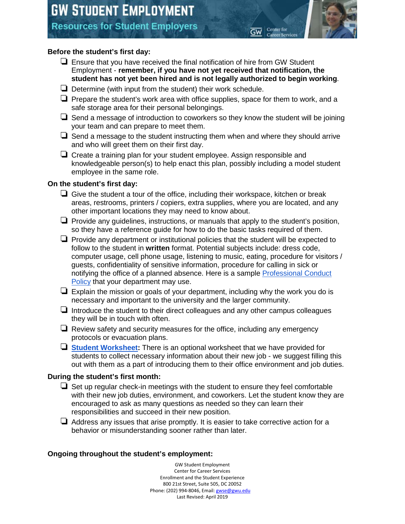# **Resources for Student Employers**

## **Before the student's first day:**

❏ Ensure that you have received the final notification of hire from GW Student Employment - **remember, if you have not yet received that notification, the student has not yet been hired and is not legally authorized to begin working**.

Center for

- ❏ Determine (with input from the student) their work schedule.
- ❏ Prepare the student's work area with office supplies, space for them to work, and a safe storage area for their personal belongings.
- $\Box$  Send a message of introduction to coworkers so they know the student will be joining your team and can prepare to meet them.
- $\Box$  Send a message to the student instructing them when and where they should arrive and who will greet them on their first day.
- ❏ Create a training plan for your student employee. Assign responsible and knowledgeable person(s) to help enact this plan, possibly including a model student employee in the same role.

#### **On the student's first day:**

- ❏ Give the student a tour of the office, including their workspace, kitchen or break areas, restrooms, printers / copiers, extra supplies, where you are located, and any other important locations they may need to know about.
- ❏ Provide any guidelines, instructions, or manuals that apply to the student's position, so they have a reference guide for how to do the basic tasks required of them.
- ❏ Provide any department or institutional policies that the student will be expected to follow to the student in **written** format. Potential subjects include: dress code, computer usage, cell phone usage, listening to music, eating, procedure for visitors / guests, confidentiality of sensitive information, procedure for calling in sick or notifying the office of a planned absence. Here is a sample [Professional Conduct](https://docs.google.com/document/d/1sqVR8xFJ7WZV0iXJPC2NQSl7olWfbOVtguCC3yZnL98/edit?usp=sharing)  [Policy](https://docs.google.com/document/d/1sqVR8xFJ7WZV0iXJPC2NQSl7olWfbOVtguCC3yZnL98/edit?usp=sharing) that your department may use.
- $\Box$  Explain the mission or goals of your department, including why the work you do is necessary and important to the university and the larger community.
- $\Box$  Introduce the student to their direct colleagues and any other campus colleagues they will be in touch with often.
- $\Box$  Review safety and security measures for the office, including any emergency protocols or evacuation plans.
- ❏ **[Student Worksheet:](https://drive.google.com/open?id=1aDIE7ZZnj22w8QXC3zsr0XPywhDj2k4MpcAzdgN3KBg)** There is an optional worksheet that we have provided for students to collect necessary information about their new job - we suggest filling this out with them as a part of introducing them to their office environment and job duties.

#### **During the student's first month:**

- ❏ Set up regular check-in meetings with the student to ensure they feel comfortable with their new job duties, environment, and coworkers. Let the student know they are encouraged to ask as many questions as needed so they can learn their responsibilities and succeed in their new position.
- $\Box$  Address any issues that arise promptly. It is easier to take corrective action for a behavior or misunderstanding sooner rather than later.

#### **Ongoing throughout the student's employment:**

GW Student Employment Center for Career Services Enrollment and the Student Experience 800 21st Street, Suite 505, DC 20052 Phone: (202) 994-8046, Email[: gwse@gwu.edu](mailto:gwse@gwu.edu) Last Revised: April 2019